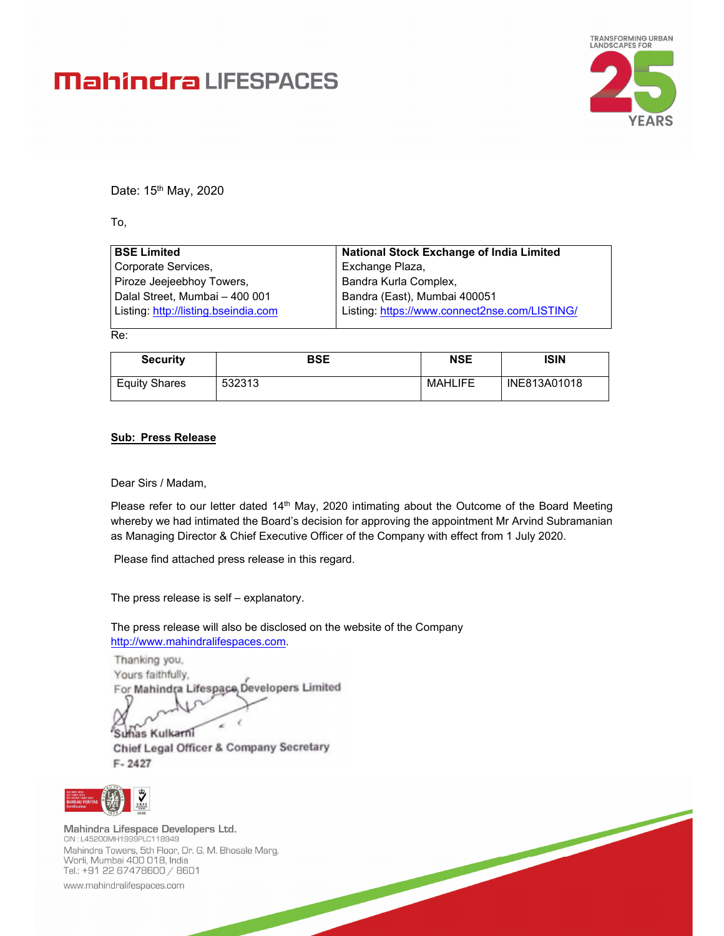# **Mahindra** LIFESPACES



Date: 15<sup>th</sup> May, 2020

To,

| <b>BSE Limited</b>                   | <b>National Stock Exchange of India Limited</b> |
|--------------------------------------|-------------------------------------------------|
| Corporate Services,                  | Exchange Plaza,                                 |
| Piroze Jeejeebhoy Towers,            | Bandra Kurla Complex,                           |
| Dalal Street, Mumbai - 400 001       | Bandra (East), Mumbai 400051                    |
| Listing: http://listing.bseindia.com | Listing: https://www.connect2nse.com/LISTING/   |
|                                      |                                                 |

Re:

| <b>Security</b>      | <b>BSE</b> | <b>NSE</b>     | ISIN         |
|----------------------|------------|----------------|--------------|
| <b>Equity Shares</b> | 532313     | <b>MAHLIFE</b> | INE813A01018 |

#### **Sub: Press Release**

Dear Sirs / Madam,

Please refer to our letter dated 14<sup>th</sup> May, 2020 intimating about the Outcome of the Board Meeting whereby we had intimated the Board's decision for approving the appointment Mr Arvind Subramanian as Managing Director & Chief Executive Officer of the Company with effect from 1 July 2020.

Please find attached press release in this regard.

The press release is self – explanatory.

The press release will also be disclosed on the website of the Company http://www.mahindralifespaces.com.

Thanking you, Yours faithfully, For Mahindra Lifespace, Developers Limited

Suhas Kulkarni **Chief Legal Officer & Company Secretary**  $F - 2427$ 



Mahindra Lifespace Developers Ltd. CIN: L45200MH1999PLC118949 Mahindra Towers, 5th Floor, Dr. G. M. Bhosale Marg,<br>Worli, Mumbai 400 018, India Tel.: +91 22 67478600 / 8601

www.mahindralifespaces.com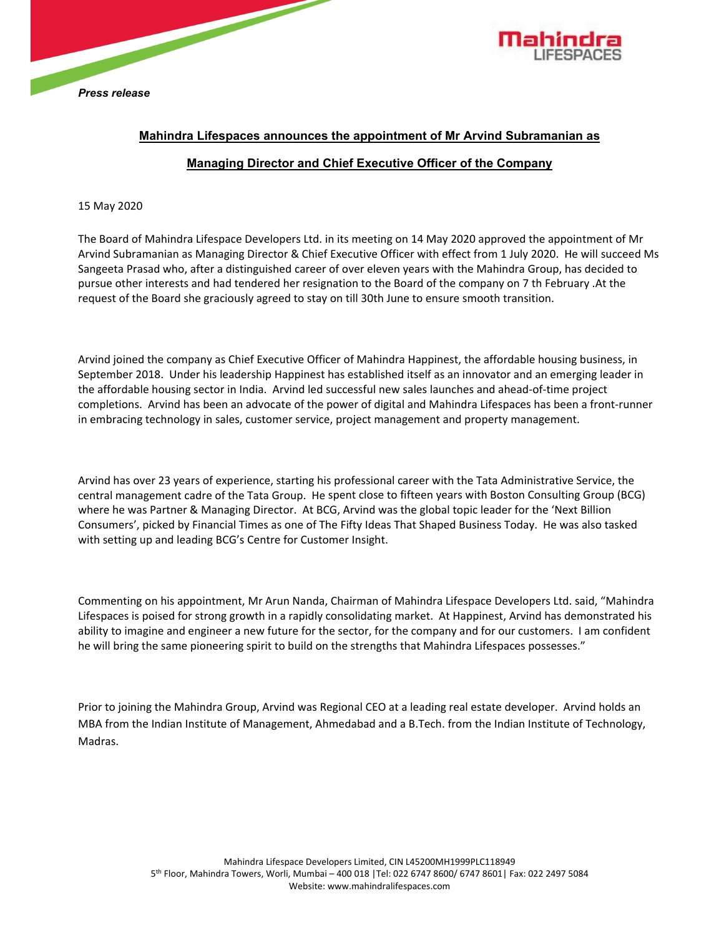



# **Mahindra Lifespaces announces the appointment of Mr Arvind Subramanian as Managing Director and Chief Executive Officer of the Company**

## 15 May 2020

The Board of Mahindra Lifespace Developers Ltd. in its meeting on 14 May 2020 approved the appointment of Mr Arvind Subramanian as Managing Director & Chief Executive Officer with effect from 1 July 2020. He will succeed Ms Sangeeta Prasad who, after a distinguished career of over eleven years with the Mahindra Group, has decided to pursue other interests and had tendered her resignation to the Board of the company on 7 th February .At the request of the Board she graciously agreed to stay on till 30th June to ensure smooth transition.

Arvind joined the company as Chief Executive Officer of Mahindra Happinest, the affordable housing business, in September 2018. Under his leadership Happinest has established itself as an innovator and an emerging leader in the affordable housing sector in India. Arvind led successful new sales launches and ahead‐of‐time project completions. Arvind has been an advocate of the power of digital and Mahindra Lifespaces has been a front‐runner in embracing technology in sales, customer service, project management and property management.

Arvind has over 23 years of experience, starting his professional career with the Tata Administrative Service, the central management cadre of the Tata Group. He spent close to fifteen years with Boston Consulting Group (BCG) where he was Partner & Managing Director. At BCG, Arvind was the global topic leader for the 'Next Billion Consumers', picked by Financial Times as one of The Fifty Ideas That Shaped Business Today. He was also tasked with setting up and leading BCG's Centre for Customer Insight.

Commenting on his appointment, Mr Arun Nanda, Chairman of Mahindra Lifespace Developers Ltd. said, "Mahindra Lifespaces is poised for strong growth in a rapidly consolidating market. At Happinest, Arvind has demonstrated his ability to imagine and engineer a new future for the sector, for the company and for our customers. I am confident he will bring the same pioneering spirit to build on the strengths that Mahindra Lifespaces possesses."

Prior to joining the Mahindra Group, Arvind was Regional CEO at a leading real estate developer. Arvind holds an MBA from the Indian Institute of Management, Ahmedabad and a B.Tech. from the Indian Institute of Technology, Madras.